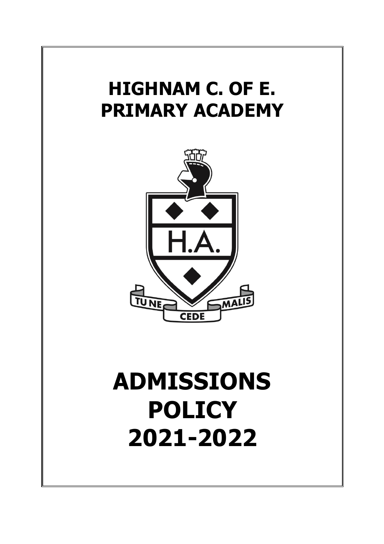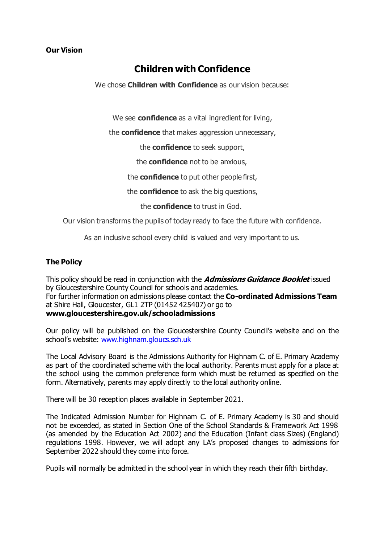# **Our Vision**

# **Children with Confidence**

We chose **Children with Confidence** as our vision because:

We see **confidence** as a vital ingredient for living,

the **confidence** that makes aggression unnecessary,

the **confidence** to seek support,

the **confidence** not to be anxious,

the **confidence** to put other people first,

the **confidence** to ask the big questions,

the **confidence** to trust in God.

Our vision transforms the pupils of today ready to face the future with confidence.

As an inclusive school every child is valued and very important to us.

#### **The Policy**

This policy should be read in conjunction with the **Admissions Guidance Booklet** issued by Gloucestershire County Council for schools and academies. For further information on admissions please contact the **Co-ordinated Admissions Team**  at Shire Hall, Gloucester, GL1 2TP (01452 425407) or go to **www.gloucestershire.gov.uk/schooladmissions**

Our policy will be published on the Gloucestershire County Council's website and on the school's website: [www.highnam.gloucs.sch.uk](http://www.highnam.gloucs.sch.uk/)

The Local Advisory Board is the Admissions Authority for Highnam C. of E. Primary Academy as part of the coordinated scheme with the local authority. Parents must apply for a place at the school using the common preference form which must be returned as specified on the form. Alternatively, parents may apply directly to the local authority online.

There will be 30 reception places available in September 2021.

The Indicated Admission Number for Highnam C. of E. Primary Academy is 30 and should not be exceeded, as stated in Section One of the School Standards & Framework Act 1998 (as amended by the Education Act 2002) and the Education (Infant class Sizes) (England) regulations 1998. However, we will adopt any LA's proposed changes to admissions for September 2022 should they come into force.

Pupils will normally be admitted in the school year in which they reach their fifth birthday.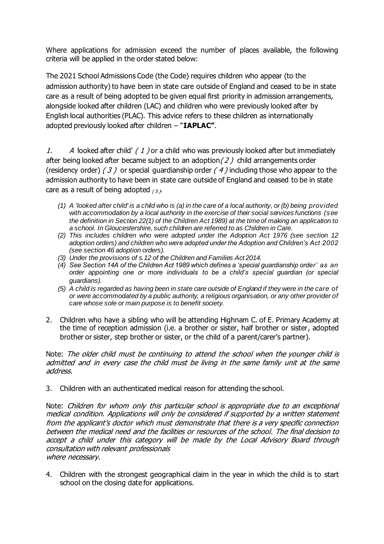Where applications for admission exceed the number of places available, the following criteria will be applied in the order stated below:

The 2021 School Admissions Code (the Code) requires children who appear (to the admission authority) to have been in state care outside of England and ceased to be in state care as a result of being adopted to be given equal first priority in admission arrangements, alongside looked after children (LAC) and children who were previously looked after by English local authorities (PLAC). This advice refers to these children as internationally adopted previously looked after children – "**IAPLAC"**.

1. A looked after child'  $(1)$  or a child who was previously looked after but immediately after being looked after became subject to an adoption  $(2)$  child arrangements order (residency order)  $(3)$  or special guardianship order  $(4)$  including those who appear to the admission authority to have been in state care outside of England and ceased to be in state care as a result of being adopted  $(5)$ .

- *(1) A 'looked after child' is a child who is (a) in the care of a local authority, or (b) being provided with accommodation by a local authority in the exercise of their social services functions (see the definition in Section 22(1) of the Children Act 1989) at the time of making an application to a school. In Gloucestershire, such children are referred to as Children in Care.*
- *(2) This includes children who were adopted under the Adoption Act 1976 (see section 12 adoption orders) and children who were adopted under the Adoption and Children's Act 2002 (see section 46 adoption orders).*
- *(3) Under the provisions of s.12 of the Children and Families Act 2014.*
- *(4) See Section 14A of the Children Act 1989 which defines a 'special guardianship order' as an order appointing one or more individuals to be a child's special guardian (or special guardians).*
- *(5) A child is regarded as having been in state care outside of England if they were in the care of or were accommodated by a public authority, a religious organisation, or any other provider of care whose sole or main purpose is to benefit society.*
- 2. Children who have a sibling who will be attending Highnam C. of E. Primary Academy at the time of reception admission (i.e. a brother or sister, half brother or sister, adopted brother or sister, step brother or sister, or the child of a parent/carer's partner).

Note: The older child must be continuing to attend the school when the younger child is admitted and in every case the child must be living in the same family unit at the same address.

3. Children with an authenticated medical reason for attending the school.

Note: Children for whom only this particular school is appropriate due to an exceptional medical condition. Applications will only be considered if supported by a written statement from the applicant's doctor which must demonstrate that there is a very specific connection between the medical need and the facilities or resources of the school. The final decision to accept a child under this category will be made by the Local Advisory Board through consultation with relevant professionals where necessary.

4. Children with the strongest geographical claim in the year in which the child is to start school on the closing date for applications.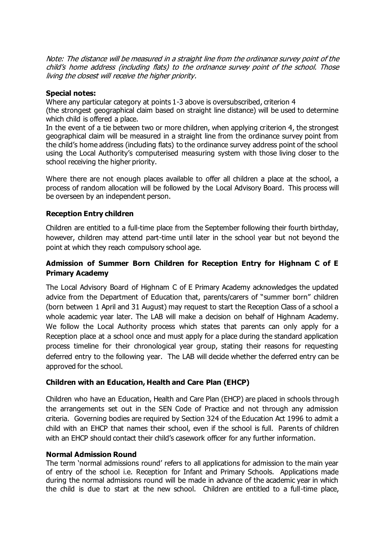Note: The distance will be measured in a straight line from the ordinance survey point of the child's home address (including flats) to the ordnance survey point of the school. Those living the closest will receive the higher priority.

#### **Special notes:**

Where any particular category at points 1-3 above is oversubscribed, criterion 4 (the strongest geographical claim based on straight line distance) will be used to determine which child is offered a place.

In the event of a tie between two or more children, when applying criterion 4, the strongest geographical claim will be measured in a straight line from the ordinance survey point from the child's home address (including flats) to the ordinance survey address point of the school using the Local Authority's computerised measuring system with those living closer to the school receiving the higher priority.

Where there are not enough places available to offer all children a place at the school, a process of random allocation will be followed by the Local Advisory Board. This process will be overseen by an independent person.

# **Reception Entry children**

Children are entitled to a full-time place from the September following their fourth birthday, however, children may attend part-time until later in the school year but not beyond the point at which they reach compulsory school age.

# **Admission of Summer Born Children for Reception Entry for Highnam C of E Primary Academy**

The Local Advisory Board of Highnam C of E Primary Academy acknowledges the updated advice from the Department of Education that, parents/carers of "summer born" children (born between 1 April and 31 August) may request to start the Reception Class of a school a whole academic year later. The LAB will make a decision on behalf of Highnam Academy. We follow the Local Authority process which states that parents can only apply for a Reception place at a school once and must apply for a place during the standard application process timeline for their chronological year group, stating their reasons for requesting deferred entry to the following year. The LAB will decide whether the deferred entry can be approved for the school.

# **Children with an Education, Health and Care Plan (EHCP)**

Children who have an Education, Health and Care Plan (EHCP) are placed in schools through the arrangements set out in the SEN Code of Practice and not through any admission criteria. Governing bodies are required by Section 324 of the Education Act 1996 to admit a child with an EHCP that names their school, even if the school is full. Parents of children with an EHCP should contact their child's casework officer for any further information.

# **Normal Admission Round**

The term 'normal admissions round' refers to all applications for admission to the main year of entry of the school i.e. Reception for Infant and Primary Schools. Applications made during the normal admissions round will be made in advance of the academic year in which the child is due to start at the new school. Children are entitled to a full-time place,